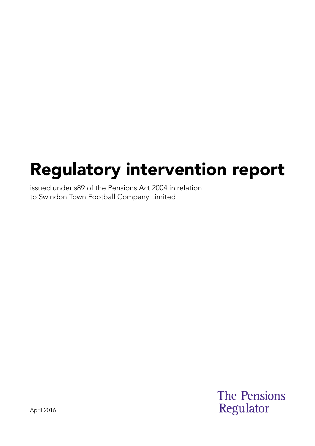# Regulatory intervention report

issued under s89 of the Pensions Act 2004 in relation to Swindon Town Football Company Limited

> **The Pensions** Regulator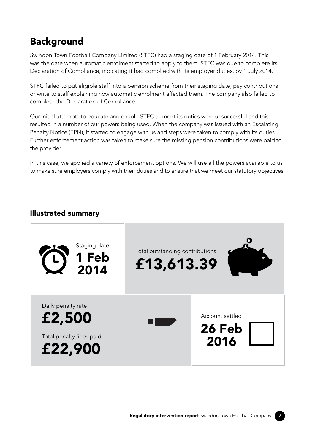## **Background**

Swindon Town Football Company Limited (STFC) had a staging date of 1 February 2014. This was the date when automatic enrolment started to apply to them. STFC was due to complete its Declaration of Compliance, indicating it had complied with its employer duties, by 1 July 2014.

STFC failed to put eligible staff into a pension scheme from their staging date, pay contributions or write to staff explaining how automatic enrolment affected them. The company also failed to complete the Declaration of Compliance.

Our initial attempts to educate and enable STFC to meet its duties were unsuccessful and this resulted in a number of our powers being used. When the company was issued with an Escalating Penalty Notice (EPN), it started to engage with us and steps were taken to comply with its duties. Further enforcement action was taken to make sure the missing pension contributions were paid to the provider.

In this case, we applied a variety of enforcement options. We will use all the powers available to us to make sure employers comply with their duties and to ensure that we meet our statutory objectives.

#### Illustrated summary

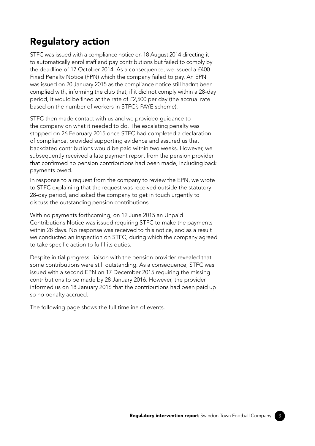## Regulatory action

 to automatically enrol staff and pay contributions but failed to comply by complied with, informing the club that, if it did not comply within a 28-day STFC was issued with a compliance notice on 18 August 2014 directing it the deadline of 17 October 2014. As a consequence, we issued a £400 Fixed Penalty Notice (FPN) which the company failed to pay. An EPN was issued on 20 January 2015 as the compliance notice still hadn't been period, it would be fined at the rate of £2,500 per day (the accrual rate based on the number of workers in STFC's PAYE scheme).

STFC then made contact with us and we provided guidance to the company on what it needed to do. The escalating penalty was stopped on 26 February 2015 once STFC had completed a declaration of compliance, provided supporting evidence and assured us that backdated contributions would be paid within two weeks. However, we subsequently received a late payment report from the pension provider that confirmed no pension contributions had been made, including back payments owed.

In response to a request from the company to review the EPN, we wrote to STFC explaining that the request was received outside the statutory 28-day period, and asked the company to get in touch urgently to discuss the outstanding pension contributions.

With no payments forthcoming, on 12 June 2015 an Unpaid Contributions Notice was issued requiring STFC to make the payments within 28 days. No response was received to this notice, and as a result we conducted an inspection on STFC, during which the company agreed to take specific action to fulfil its duties.

Despite initial progress, liaison with the pension provider revealed that some contributions were still outstanding. As a consequence, STFC was issued with a second EPN on 17 December 2015 requiring the missing contributions to be made by 28 January 2016. However, the provider informed us on 18 January 2016 that the contributions had been paid up so no penalty accrued.

The following page shows the full timeline of events.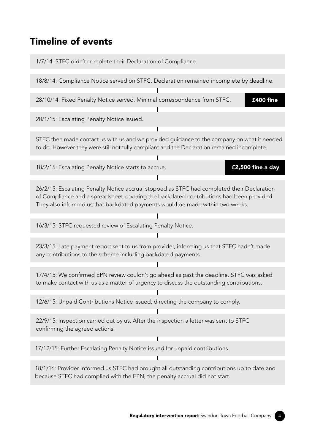#### Timeline of events

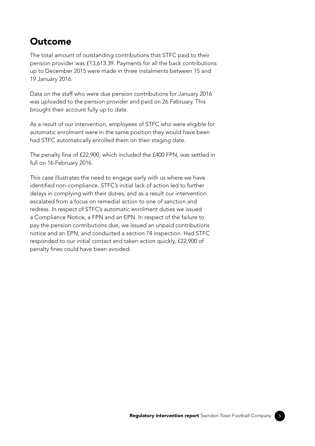#### Outcome

The total amount of outstanding contributions that STFC paid to their pension provider was £13,613.39. Payments for all the back contributions up to December 2015 were made in three instalments between 15 and 19 January 2016.

Data on the staff who were due pension contributions for January 2016 was uploaded to the pension provider and paid on 26 February. This brought their account fully up to date.

As a result of our intervention, employees of STFC who were eligible for automatic enrolment were in the same position they would have been had STFC automatically enrolled them on their staging date.

The penalty fine of £22,900, which included the £400 FPN, was settled in full on 16 February 2016.

This case illustrates the need to engage early with us where we have identified non-compliance. STFC's initial lack of action led to further delays in complying with their duties, and as a result our intervention escalated from a focus on remedial action to one of sanction and redress. In respect of STFC's automatic enrolment duties we issued a Compliance Notice, a FPN and an EPN. In respect of the failure to pay the pension contributions due, we issued an unpaid contributions notice and an EPN, and conducted a section 74 inspection. Had STFC responded to our initial contact and taken action quickly, £22,900 of penalty fines could have been avoided.